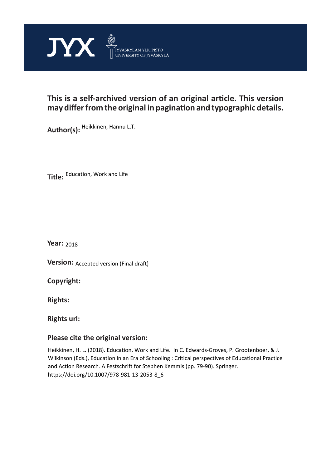

# **This is a self-archived version of an original article. This version may differ from the original in pagination and typographic details.**

**Author(s):**  Heikkinen, Hannu L.T.

**Title:**  Education, Work and Life

**Year:**  2018

**Version:** Accepted version (Final draft)

**Copyright:**

**Rights:**

**Rights url:** 

# **Please cite the original version:**

Heikkinen, H. L. (2018). Education, Work and Life. In C. Edwards-Groves, P. Grootenboer, & J. Wilkinson (Eds.), Education in an Era of Schooling : Critical perspectives of Educational Practice and Action Research. A Festschrift for Stephen Kemmis (pp. 79-90). Springer. https://doi.org/10.1007/978-981-13-2053-8\_6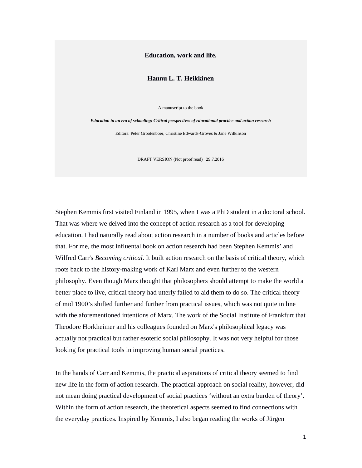#### **Education, work and life.**

#### **Hannu L. T. Heikkinen**

A manuscript to the book

*Education in an era of schooling: Critical perspectives of educational practice and action research*

Editors: Peter Grootenboer, Christine Edwards-Groves & Jane Wilkinson

DRAFT VERSION (Not proof read) 29.7.2016

Stephen Kemmis first visited Finland in 1995, when I was a PhD student in a doctoral school. That was where we delved into the concept of action research as a tool for developing education. I had naturally read about action research in a number of books and articles before that. For me, the most influental book on action research had been Stephen Kemmis' and Wilfred Carr's *Becoming critical*. It built action research on the basis of critical theory, which roots back to the history-making work of Karl Marx and even further to the western philosophy. Even though Marx thought that philosophers should attempt to make the world a better place to live, critical theory had utterly failed to aid them to do so. The critical theory of mid 1900's shifted further and further from practical issues, which was not quite in line with the aforementioned intentions of Marx. The work of the Social Institute of Frankfurt that Theodore Horkheimer and his colleagues founded on Marx's philosophical legacy was actually not practical but rather esoteric social philosophy. It was not very helpful for those looking for practical tools in improving human social practices.

In the hands of Carr and Kemmis, the practical aspirations of critical theory seemed to find new life in the form of action research. The practical approach on social reality, however, did not mean doing practical development of social practices 'without an extra burden of theory'. Within the form of action research, the theoretical aspects seemed to find connections with the everyday practices. Inspired by Kemmis, I also began reading the works of Jürgen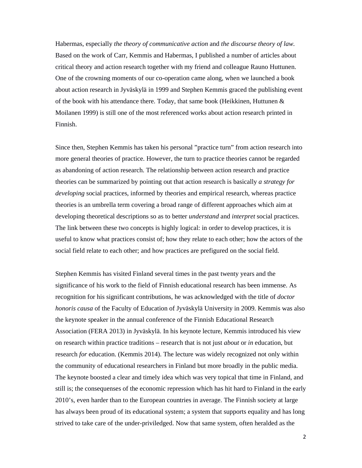Habermas, especially *the theory of communicative action* and *the discourse theory of law.*  Based on the work of Carr, Kemmis and Habermas, I published a number of articles about critical theory and action research together with my friend and colleague Rauno Huttunen. One of the crowning moments of our co-operation came along, when we launched a book about action research in Jyväskylä in 1999 and Stephen Kemmis graced the publishing event of the book with his attendance there. Today, that same book (Heikkinen, Huttunen & Moilanen 1999) is still one of the most referenced works about action research printed in Finnish.

Since then, Stephen Kemmis has taken his personal "practice turn" from action research into more general theories of practice. However, the turn to practice theories cannot be regarded as abandoning of action research. The relationship between action research and practice theories can be summarized by pointing out that action research is basically *a strategy for developing* social practices, informed by theories and empirical research, whereas practice theories is an umbrella term covering a broad range of different approaches which aim at developing theoretical descriptions so as to better *understand* and *interpret* social practices. The link between these two concepts is highly logical: in order to develop practices, it is useful to know what practices consist of; how they relate to each other; how the actors of the social field relate to each other; and how practices are prefigured on the social field.

Stephen Kemmis has visited Finland several times in the past twenty years and the significance of his work to the field of Finnish educational research has been immense. As recognition for his significant contributions, he was acknowledged with the title of *doctor honoris causa* of the Faculty of Education of Jyväskylä University in 2009. Kemmis was also the keynote speaker in the annual conference of the Finnish Educational Research Association (FERA 2013) in Jyväskylä. In his keynote lecture, Kemmis introduced his view on research within practice traditions – research that is not just *about* or *in* education, but research *for* education. (Kemmis 2014). The lecture was widely recognized not only within the community of educational researchers in Finland but more broadly in the public media. The keynote boosted a clear and timely idea which was very topical that time in Finland, and still is; the consequenses of the economic repression which has hit hard to Finland in the early 2010's, even harder than to the European countries in average. The Finnish society at large has always been proud of its educational system; a system that supports equality and has long strived to take care of the under-priviledged. Now that same system, often heralded as the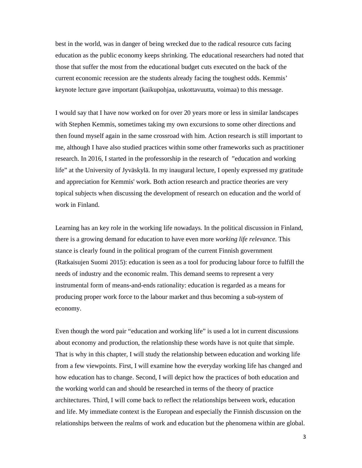best in the world, was in danger of being wrecked due to the radical resource cuts facing education as the public economy keeps shrinking. The educational researchers had noted that those that suffer the most from the educational budget cuts executed on the back of the current economic recession are the students already facing the toughest odds. Kemmis' keynote lecture gave important (kaikupohjaa, uskottavuutta, voimaa) to this message.

I would say that I have now worked on for over 20 years more or less in similar landscapes with Stephen Kemmis, sometimes taking my own excursions to some other directions and then found myself again in the same crossroad with him. Action research is still important to me, although I have also studied practices within some other frameworks such as practitioner research. In 2016, I started in the professorship in the research of "education and working life" at the University of Jyväskylä. In my inaugural lecture, I openly expressed my gratitude and appreciation for Kemmis' work. Both action research and practice theories are very topical subjects when discussing the development of research on education and the world of work in Finland.

Learning has an key role in the working life nowadays. In the political discussion in Finland, there is a growing demand for education to have even more *working life relevance*. This stance is clearly found in the political program of the current Finnish government (Ratkaisujen Suomi 2015): education is seen as a tool for producing labour force to fulfill the needs of industry and the economic realm. This demand seems to represent a very instrumental form of means-and-ends rationality: education is regarded as a means for producing proper work force to the labour market and thus becoming a sub-system of economy.

Even though the word pair "education and working life" is used a lot in current discussions about economy and production, the relationship these words have is not quite that simple. That is why in this chapter, I will study the relationship between education and working life from a few viewpoints. First, I will examine how the everyday working life has changed and how education has to change. Second, I will depict how the practices of both education and the working world can and should be researched in terms of the theory of practice architectures. Third, I will come back to reflect the relationships between work, education and life. My immediate context is the European and especially the Finnish discussion on the relationships between the realms of work and education but the phenomena within are global.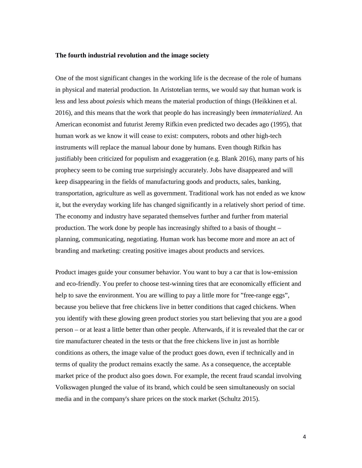# **The fourth industrial revolution and the image society**

One of the most significant changes in the working life is the decrease of the role of humans in physical and material production. In Aristotelian terms, we would say that human work is less and less about *poiesis* which means the material production of things (Heikkinen et al. 2016), and this means that the work that people do has increasingly been *immaterialized*. An American economist and futurist Jeremy Rifkin even predicted two decades ago (1995), that human work as we know it will cease to exist: computers, robots and other high-tech instruments will replace the manual labour done by humans. Even though Rifkin has justifiably been criticized for populism and exaggeration (e.g. Blank 2016), many parts of his prophecy seem to be coming true surprisingly accurately. Jobs have disappeared and will keep disappearing in the fields of manufacturing goods and products, sales, banking, transportation, agriculture as well as government. Traditional work has not ended as we know it, but the everyday working life has changed significantly in a relatively short period of time. The economy and industry have separated themselves further and further from material production. The work done by people has increasingly shifted to a basis of thought – planning, communicating, negotiating. Human work has become more and more an act of branding and marketing: creating positive images about products and services.

Product images guide your consumer behavior. You want to buy a car that is low-emission and eco-friendly. You prefer to choose test-winning tires that are economically efficient and help to save the environment. You are willing to pay a little more for "free-range eggs", because you believe that free chickens live in better conditions that caged chickens. When you identify with these glowing green product stories you start believing that you are a good person – or at least a little better than other people. Afterwards, if it is revealed that the car or tire manufacturer cheated in the tests or that the free chickens live in just as horrible conditions as others, the image value of the product goes down, even if technically and in terms of quality the product remains exactly the same. As a consequence, the acceptable market price of the product also goes down. For example, the recent fraud scandal involving Volkswagen plunged the value of its brand, which could be seen simultaneously on social media and in the company's share prices on the stock market (Schultz 2015).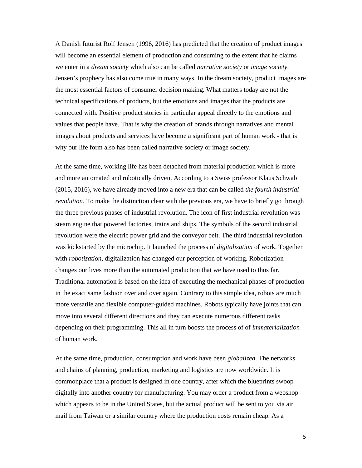A Danish futurist Rolf Jensen (1996, 2016) has predicted that the creation of product images will become an essential element of production and consuming to the extent that he claims we enter in a *dream society* which also can be called *narrative society* or *image society*. Jensen's prophecy has also come true in many ways. In the dream society, product images are the most essential factors of consumer decision making. What matters today are not the technical specifications of products, but the emotions and images that the products are connected with. Positive product stories in particular appeal directly to the emotions and values that people have. That is why the creation of brands through narratives and mental images about products and services have become a significant part of human work - that is why our life form also has been called narrative society or image society.

At the same time, working life has been detached from material production which is more and more automated and robotically driven. According to a Swiss professor Klaus Schwab (2015, 2016), we have already moved into a new era that can be called *the fourth industrial revolution.* To make the distinction clear with the previous era, we have to briefly go through the three previous phases of industrial revolution. The icon of first industrial revolution was steam engine that powered factories, trains and ships. The symbols of the second industrial revolution were the electric power grid and the conveyor belt. The third industrial revolution was kickstarted by the microchip. It launched the process of *digitalization* of work. Together with *robotization*, digitalization has changed our perception of working. Robotization changes our lives more than the automated production that we have used to thus far. Traditional automation is based on the idea of executing the mechanical phases of production in the exact same fashion over and over again. Contrary to this simple idea, robots are much more versatile and flexible computer-guided machines. Robots typically have joints that can move into several different directions and they can execute numerous different tasks depending on their programming. This all in turn boosts the process of of *immaterialization* of human work.

At the same time, production, consumption and work have been *globalized*. The networks and chains of planning, production, marketing and logistics are now worldwide. It is commonplace that a product is designed in one country, after which the blueprints swoop digitally into another country for manufacturing. You may order a product from a webshop which appears to be in the United States, but the actual product will be sent to you via air mail from Taiwan or a similar country where the production costs remain cheap. As a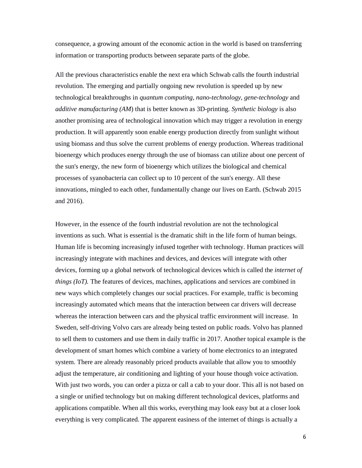consequence, a growing amount of the economic action in the world is based on transferring information or transporting products between separate parts of the globe.

All the previous characteristics enable the next era which Schwab calls the fourth industrial revolution. The emerging and partially ongoing new revolution is speeded up by new technological breakthroughs in *quantum computing, nano-technology, gene-technology* and *additive manufacturing (AM*) that is better known as 3D-printing. *Synthetic biology* is also another promising area of technological innovation which may trigger a revolution in energy production. It will apparently soon enable energy production directly from sunlight without using biomass and thus solve the current problems of energy production. Whereas traditional bioenergy which produces energy through the use of biomass can utilize about one percent of the sun's energy, the new form of bioenergy which utilizes the biological and chemical processes of syanobacteria can collect up to 10 percent of the sun's energy. All these innovations, mingled to each other, fundamentally change our lives on Earth. (Schwab 2015 and 2016).

However, in the essence of the fourth industrial revolution are not the technological inventions as such. What is essential is the dramatic shift in the life form of human beings. Human life is becoming increasingly infused together with technology. Human practices will increasingly integrate with machines and devices, and devices will integrate with other devices, forming up a global network of technological devices which is called the *internet of things (IoT).* The features of devices, machines, applications and services are combined in new ways which completely changes our social practices. For example, traffic is becoming increasingly automated which means that the interaction between car drivers will decrease whereas the interaction between cars and the physical traffic environment will increase. In Sweden, self-driving Volvo cars are already being tested on public roads. Volvo has planned to sell them to customers and use them in daily traffic in 2017. Another topical example is the development of smart homes which combine a variety of home electronics to an integrated system. There are already reasonably priced products available that allow you to smoothly adjust the temperature, air conditioning and lighting of your house though voice activation. With just two words, you can order a pizza or call a cab to your door. This all is not based on a single or unified technology but on making different technological devices, platforms and applications compatible. When all this works, everything may look easy but at a closer look everything is very complicated. The apparent easiness of the internet of things is actually a

6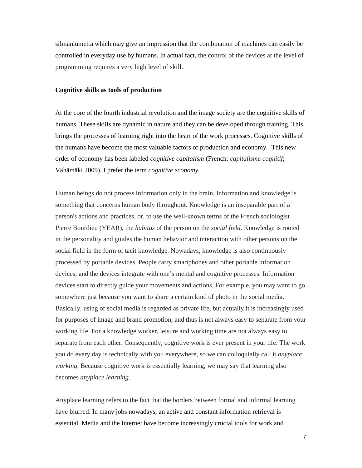silmänlumetta which may give an impression that the combination of machines can easily be controlled in everyday use by humans. In actual fact, the control of the devices at the level of programming requires a very high level of skill.

#### **Cognitive skills as tools of production**

At the core of the fourth industrial revolution and the image society are the cognitive skills of humans. These skills are dynamic in nature and they can be developed through training. This brings the processes of learning right into the heart of the work processes. Cognitive skills of the humans have become the most valuable factors of production and economy. This new order of economy has been labeled *cognitive capitalism* (French: *capitalisme cognitif*; Vähämäki 2009). I prefer the term *cognitive economy.*

Human beings do not process information only in the brain. Information and knowledge is something that concerns human body throughout. Knowledge is an inseparable part of a person's actions and practices, or, to use the well-known terms of the French sociologist Pierre Bourdieu (YEAR), the *habitus* of the person on the *social field*. Knowledge is rooted in the personality and guides the human behavior and interaction with other persons on the social field in the form of tacit knowledge. Nowadays, knowledge is also continuously processed by portable devices. People carry smartphones and other portable information devices, and the devices integrate with one's mental and cognitive processes. Information devices start to directly guide your movements and actions. For example, you may want to go somewhere just because you want to share a certain kind of photo in the social media. Basically, using of social media is regarded as private life, but actually it is increasingly used for purposes of image and brand promotion, and thus is not always easy to separate from your working life. For a knowledge worker, leisure and working time are not always easy to separate from each other. Consequently, cognitive work is ever present in your life. The work you do every day is technically with you everywhere, so we can colloquially call it *anyplace working*. Because cognitive work is essentially learning, we may say that learning also becomes *anyplace learning*.

Anyplace learning refers to the fact that the borders between formal and informal learning have blurred. In many jobs nowadays, an active and constant information retrieval is essential. Media and the Internet have become increasingly crucial tools for work and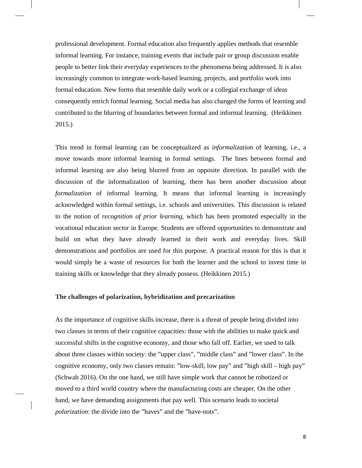professional development. Formal education also frequently applies methods that resemble informal learning. For instance, training events that include pair or group discussion enable people to better link their everyday experiences to the phenomena being addressed. It is also increasingly common to integrate work-based learning, projects, and portfolio work into formal education. New forms that resemble daily work or a collegial exchange of ideas consequently enrich formal learning. Social media has also changed the forms of learning and contributed to the blurring of boundaries between formal and informal learning. (Heikkinen 2015.)

This trend in formal learning can be conceptualized as *informalization* of learning, i.e., a move towards more informal learning in formal settings. The lines between formal and informal learning are also being blurred from an opposite direction. In parallel with the discussion of the informalization of learning, there has been another discussion about *formalization* of informal learning. It means that informal learning is increasingly acknowledged within formal settings, i.e. schools and universities. This discussion is related to the notion of *recognition of prior learning*, which has been promoted especially in the vocational education sector in Europe. Students are offered opportunities to demonstrate and build on what they have already learned in their work and everyday lives. Skill demonstrations and portfolios are used for this purpose. A practical reason for this is that it would simply be a waste of resources for both the learner and the school to invest time in training skills or knowledge that they already possess. (Heikkinen 2015.)

# **The challenges of polarization, hybridization and precarization**

As the importance of cognitive skills increase, there is a threat of people being divided into two classes in terms of their cognitive capacities: those with the abilities to make quick and successful shifts in the cognitive economy, and those who fall off. Earlier, we used to talk about three classes within society: the "upper class", "middle class" and "lower class". In the cognitive economy, only two classes remain: "low-skill, low pay" and "high skill – high pay" (Schwab 2016). On the one hand, we still have simple work that cannot be robotized or moved to a third world country where the manufacturing costs are cheaper. On the other hand, we have demanding assignments that pay well. This scenario leads to societal *polarization*: the divide into the "haves" and the "have-nots".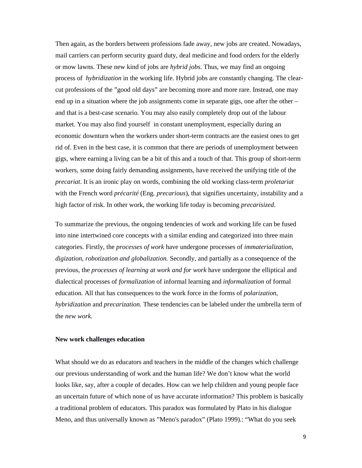Then again, as the borders between professions fade away, new jobs are created. Nowadays, mail carriers can perform security guard duty, deal medicine and food orders for the elderly or mow lawns. These new kind of jobs are *hybrid jobs*. Thus, we may find an ongoing process of *hybridization* in the working life. Hybrid jobs are constantly changing. The clearcut professions of the "good old days" are becoming more and more rare. Instead, one may end up in a situation where the job assignments come in separate gigs, one after the other – and that is a best-case scenario. You may also easily completely drop out of the labour market. You may also find yourself in constant unemployment, especially during an economic downturn when the workers under short-term contracts are the easiest ones to get rid of. Even in the best case, it is common that there are periods of unemployment between gigs, where earning a living can be a bit of this and a touch of that. This group of short-term workers, some doing fairly demanding assignments, have received the unifying title of the *precariat*. It is an ironic play on words, combining the old working class-term *proletariat*  with the French word *précarité* (Eng. *precarious*), that signifies uncertainty, instability and a high factor of risk. In other work, the working life today is becoming *precarisized*.

To summarize the previous, the ongoing tendencies of work and working life can be fused into nine intertwined core concepts with a similar ending and categorized into three main categories. Firstly, the *processes of work* have undergone processes of *immaterialization, digization, robotization and globalization.* Secondly, and partially as a consequence of the previous, the *processes of learning at work and for work* have undergone the elliptical and dialectical processes of *formalization* of informal learning and *informalization* of formal education. All that has consequences to the work force in the forms of *polarization, hybridization* and *precarization.* These tendencies can be labeled under the umbrella term of the *new work.*

#### **New work challenges education**

What should we do as educators and teachers in the middle of the changes which challenge our previous understanding of work and the human life? We don't know what the world looks like, say, after a couple of decades. How can we help children and young people face an uncertain future of which none of us have accurate information? This problem is basically a traditional problem of educators. This paradox was formulated by Plato in his dialogue Meno, and thus universally known as "Meno's paradox" (Plato 1999).: "What do you seek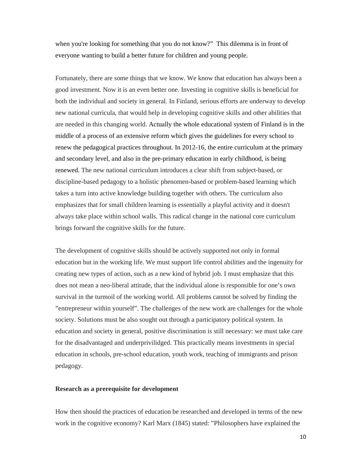when you're looking for something that you do not know?" This dilemma is in front of everyone wanting to build a better future for children and young people.

Fortunately, there are some things that we know. We know that education has always been a good investment. Now it is an even better one. Investing in cognitive skills is beneficial for both the individual and society in general. In Finland, serious efforts are underway to develop new national curricula, that would help in developing cognitive skills and other abilities that are needed in this changing world. Actually the whole educational system of Finland is in the middle of a process of an extensive reform which gives the guidelines for every school to renew the pedagogical practices throughout. In 2012-16, the entire curriculum at the primary and secondary level, and also in the pre-primary education in early childhood, is being renewed. The new national curriculum introduces a clear shift from subject-based, or discipline-based pedagogy to a holistic phenomen-based or problem-based learning which takes a turn into active knowledge building together with others. The curriculum also emphasizes that for small children learning is essentially a playful activity and it doesn't always take place within school walls. This radical change in the national core curriculum brings forward the cognitive skills for the future.

The development of cognitive skills should be actively supported not only in formal education but in the working life. We must support life control abilities and the ingenuity for creating new types of action, such as a new kind of hybrid job. I must emphasize that this does not mean a neo-liberal attitude, that the individual alone is responsible for one's own survival in the turmoil of the working world. All problems cannot be solved by finding the "entrepreneur within yourself". The challenges of the new work are challenges for the whole society. Solutions must be also sought out through a participatory political system. In education and society in general, positive discrimination is still necessary: we must take care for the disadvantaged and underprivilidged. This practically means investments in special education in schools, pre-school education, youth work, teaching of immigrants and prison pedagogy.

# **Research as a prerequisite for development**

How then should the practices of education be researched and developed in terms of the new work in the cognitive economy? Karl Marx (1845) stated: "Philosophers have explained the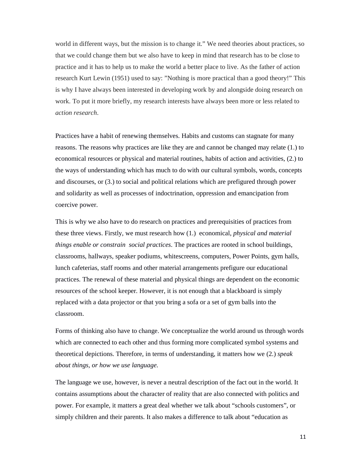world in different ways, but the mission is to change it." We need theories about practices, so that we could change them but we also have to keep in mind that research has to be close to practice and it has to help us to make the world a better place to live. As the father of action research Kurt Lewin (1951) used to say: "Nothing is more practical than a good theory!" This is why I have always been interested in developing work by and alongside doing research on work. To put it more briefly, my research interests have always been more or less related to *action research*.

Practices have a habit of renewing themselves. Habits and customs can stagnate for many reasons. The reasons why practices are like they are and cannot be changed may relate (1.) to economical resources or physical and material routines, habits of action and activities, (2.) to the ways of understanding which has much to do with our cultural symbols, words, concepts and discourses, or (3.) to social and political relations which are prefigured through power and solidarity as well as processes of indoctrination, oppression and emancipation from coercive power.

This is why we also have to do research on practices and prerequisities of practices from these three views. Firstly, we must research how (1.) economical, *physical and material things enable or constrain social practices*. The practices are rooted in school buildings, classrooms, hallways, speaker podiums, whitescreens, computers, Power Points, gym halls, lunch cafeterias, staff rooms and other material arrangements prefigure our educational practices. The renewal of these material and physical things are dependent on the economic resources of the school keeper. However, it is not enough that a blackboard is simply replaced with a data projector or that you bring a sofa or a set of gym balls into the classroom.

Forms of thinking also have to change. We conceptualize the world around us through words which are connected to each other and thus forming more complicated symbol systems and theoretical depictions. Therefore, in terms of understanding, it matters how we (2.) *speak about things, or how we use language.*

The language we use, however, is never a neutral description of the fact out in the world. It contains assumptions about the character of reality that are also connected with politics and power. For example, it matters a great deal whether we talk about "schools customers", or simply children and their parents. It also makes a difference to talk about "education as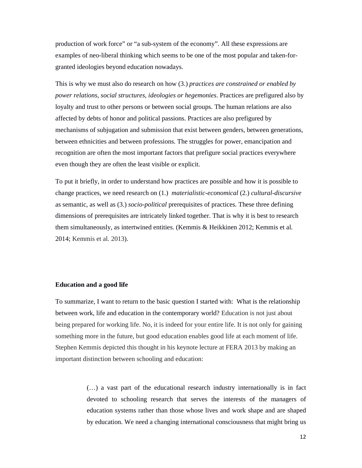production of work force" or "a sub-system of the economy". All these expressions are examples of neo-liberal thinking which seems to be one of the most popular and taken-forgranted ideologies beyond education nowadays.

This is why we must also do research on how (3.) *practices are constrained or enabled by power relations, social structures, ideologies or hegemonies*. Practices are prefigured also by loyalty and trust to other persons or between social groups. The human relations are also affected by debts of honor and political passions. Practices are also prefigured by mechanisms of subjugation and submission that exist between genders, between generations, between ethnicities and between professions. The struggles for power, emancipation and recognition are often the most important factors that prefigure social practices everywhere even though they are often the least visible or explicit.

To put it briefly, in order to understand how practices are possible and how it is possible to change practices, we need research on (1.) *materialistic-economical* (2.) *cultural-discursive*  as semantic, as well as (3.) *socio-political* prerequisites of practices. These three defining dimensions of prerequisites are intricately linked together. That is why it is best to research them simultaneously, as intertwined entities. (Kemmis & Heikkinen 2012; Kemmis et al. 2014; Kemmis et al. 2013).

#### **Education and a good life**

To summarize, I want to return to the basic question I started with: What is the relationship between work, life and education in the contemporary world? Education is not just about being prepared for working life. No, it is indeed for your entire life. It is not only for gaining something more in the future, but good education enables good life at each moment of life. Stephen Kemmis depicted this thought in his keynote lecture at FERA 2013 by making an important distinction between schooling and education:

> (…) a vast part of the educational research industry internationally is in fact devoted to schooling research that serves the interests of the managers of education systems rather than those whose lives and work shape and are shaped by education. We need a changing international consciousness that might bring us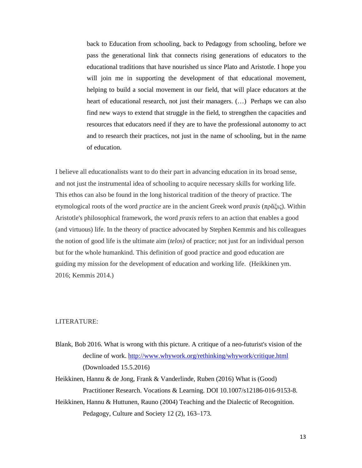back to Education from schooling, back to Pedagogy from schooling, before we pass the generational link that connects rising generations of educators to the educational traditions that have nourished us since Plato and Aristotle. I hope you will join me in supporting the development of that educational movement, helping to build a social movement in our field, that will place educators at the heart of educational research, not just their managers. (...) Perhaps we can also find new ways to extend that struggle in the field, to strengthen the capacities and resources that educators need if they are to have the professional autonomy to act and to research their practices, not just in the name of schooling, but in the name of education.

I believe all educationalists want to do their part in advancing education in its broad sense, and not just the instrumental idea of schooling to acquire necessary skills for working life. This ethos can also be found in the long historical tradition of the theory of practice. The etymological roots of the word *practice* are in the ancient Greek word *praxis* (πρᾶξις). Within Aristotle's philosophical framework, the word *praxis* refers to an action that enables a good (and virtuous) life. In the theory of practice advocated by Stephen Kemmis and his colleagues the notion of good life is the ultimate aim (*telos)* of practice; not just for an individual person but for the whole humankind. This definition of good practice and good education are guiding my mission for the development of education and working life. (Heikkinen ym. 2016; Kemmis 2014.)

## LITERATURE:

Blank, Bob 2016. What is wrong with this picture. A critique of a neo-futurist's vision of the decline of work. http://www.whywork.org/rethinking/whywork/critique.html (Downloaded 15.5.2016)

Heikkinen, Hannu & de Jong, Frank & Vanderlinde, Ruben (2016) What is (Good) Practitioner Research. Vocations & Learning. DOI 10.1007/s12186-016-9153-8.

Heikkinen, Hannu & Huttunen, Rauno (2004) Teaching and the Dialectic of Recognition. Pedagogy, Culture and Society 12 (2), 163–173.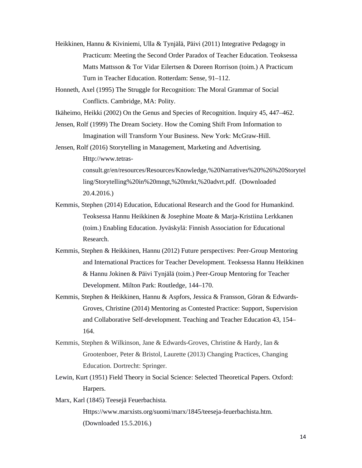- Heikkinen, Hannu & Kiviniemi, Ulla & Tynjälä, Päivi (2011) Integrative Pedagogy in Practicum: Meeting the Second Order Paradox of Teacher Education. Teoksessa Matts Mattsson & Tor Vidar Eilertsen & Doreen Rorrison (toim.) A Practicum Turn in Teacher Education. Rotterdam: Sense, 91–112.
- Honneth, Axel (1995) The Struggle for Recognition: The Moral Grammar of Social Conflicts. Cambridge, MA: Polity.
- Ikäheimo, Heikki (2002) On the Genus and Species of Recognition. Inquiry 45, 447–462.
- Jensen, Rolf (1999) The Dream Society. How the Coming Shift From Information to Imagination will Transform Your Business. New York: McGraw-Hill.

Jensen, Rolf (2016) Storytelling in Management, Marketing and Advertising. Http://www.tetrasconsult.gr/en/resources/Resources/Knowledge,%20Narratives%20%26%20Storytel ling/Storytelling%20in%20mngt,%20mrkt,%20advrt.pdf. (Downloaded 20.4.2016.)

- Kemmis, Stephen (2014) Education, Educational Research and the Good for Humankind. Teoksessa Hannu Heikkinen & Josephine Moate & Marja-Kristiina Lerkkanen (toim.) Enabling Education. Jyväskylä: Finnish Association for Educational Research.
- Kemmis, Stephen & Heikkinen, Hannu (2012) Future perspectives: Peer-Group Mentoring and International Practices for Teacher Development. Teoksessa Hannu Heikkinen & Hannu Jokinen & Päivi Tynjälä (toim.) Peer-Group Mentoring for Teacher Development. Milton Park: Routledge, 144–170.
- Kemmis, Stephen & Heikkinen, Hannu & Aspfors, Jessica & Fransson, Göran & Edwards-Groves, Christine (2014) Mentoring as Contested Practice: Support, Supervision and Collaborative Self-development. Teaching and Teacher Education 43, 154– 164.
- Kemmis, Stephen & Wilkinson, Jane & Edwards-Groves, Christine & Hardy, Ian & Grootenboer, Peter & Bristol, Laurette (2013) Changing Practices, Changing Education. Dortrecht: Springer.
- Lewin, Kurt (1951) Field Theory in Social Science: Selected Theoretical Papers. Oxford: Harpers.
- Marx, Karl (1845) Teesejä Feuerbachista.
	- Https://www.marxists.org/suomi/marx/1845/teeseja-feuerbachista.htm. (Downloaded 15.5.2016.)